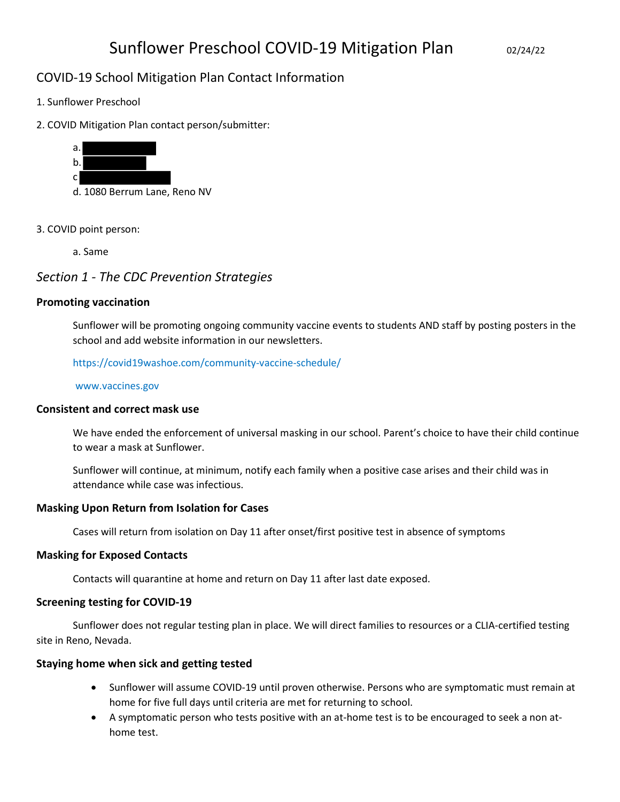# COVID-19 School Mitigation Plan Contact Information

- 1. Sunflower Preschool
- 2. COVID Mitigation Plan contact person/submitter:



- 3. COVID point person:
	- a. Same

# Section 1 - The CDC Prevention Strategies

#### Promoting vaccination

Sunflower will be promoting ongoing community vaccine events to students AND staff by posting posters in the school and add website information in our newsletters.

https://covid19washoe.com/community-vaccine-schedule/

www.vaccines.gov

#### Consistent and correct mask use

We have ended the enforcement of universal masking in our school. Parent's choice to have their child continue to wear a mask at Sunflower.

Sunflower will continue, at minimum, notify each family when a positive case arises and their child was in attendance while case was infectious.

#### Masking Upon Return from Isolation for Cases

Cases will return from isolation on Day 11 after onset/first positive test in absence of symptoms

#### Masking for Exposed Contacts

Contacts will quarantine at home and return on Day 11 after last date exposed.

## Screening testing for COVID-19

Sunflower does not regular testing plan in place. We will direct families to resources or a CLIA-certified testing site in Reno, Nevada.

## Staying home when sick and getting tested

- Sunflower will assume COVID-19 until proven otherwise. Persons who are symptomatic must remain at home for five full days until criteria are met for returning to school.
- A symptomatic person who tests positive with an at-home test is to be encouraged to seek a non athome test.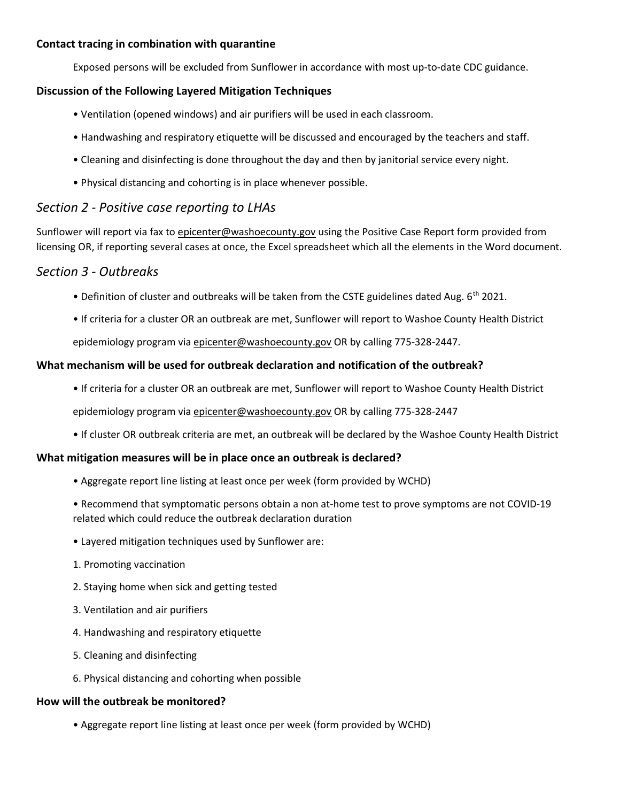## Contact tracing in combination with quarantine

Exposed persons will be excluded from Sunflower in accordance with most up-to-date CDC guidance.

#### Discussion of the Following Layered Mitigation Techniques

- Ventilation (opened windows) and air purifiers will be used in each classroom.
- Handwashing and respiratory etiquette will be discussed and encouraged by the teachers and staff.
- Cleaning and disinfecting is done throughout the day and then by janitorial service every night.
- Physical distancing and cohorting is in place whenever possible.

# Section 2 - Positive case reporting to LHAs

Sunflower will report via fax to epicenter@washoecounty.gov using the Positive Case Report form provided from licensing OR, if reporting several cases at once, the Excel spreadsheet which all the elements in the Word document.

# Section 3 - Outbreaks

- Definition of cluster and outbreaks will be taken from the CSTE guidelines dated Aug.  $6<sup>th</sup>$  2021.
- If criteria for a cluster OR an outbreak are met, Sunflower will report to Washoe County Health District

epidemiology program via epicenter@washoecounty.gov OR by calling 775-328-2447.

## What mechanism will be used for outbreak declaration and notification of the outbreak?

• If criteria for a cluster OR an outbreak are met, Sunflower will report to Washoe County Health District

epidemiology program via epicenter@washoecounty.gov OR by calling 775-328-2447

• If cluster OR outbreak criteria are met, an outbreak will be declared by the Washoe County Health District

#### What mitigation measures will be in place once an outbreak is declared?

- Aggregate report line listing at least once per week (form provided by WCHD)
- Recommend that symptomatic persons obtain a non at-home test to prove symptoms are not COVID-19 related which could reduce the outbreak declaration duration
- Layered mitigation techniques used by Sunflower are:
- 1. Promoting vaccination
- 2. Staying home when sick and getting tested
- 3. Ventilation and air purifiers
- 4. Handwashing and respiratory etiquette
- 5. Cleaning and disinfecting
- 6. Physical distancing and cohorting when possible

#### How will the outbreak be monitored?

• Aggregate report line listing at least once per week (form provided by WCHD)